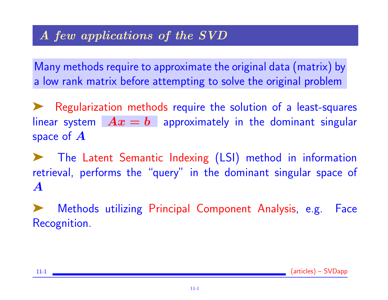Many methods require to approximate the original data (matrix) by a low rank matrix before attempting to solve the original problem

➤ Regularization methods require the solution of a least-squares linear system  $Ax = b$  approximately in the dominant singular space of  $\boldsymbol{A}$ 

➤ The Latent Semantic Indexing (LSI) method in information retrieval, performs the "query" in the dominant singular space of A

Methods utilizing Principal Component Analysis, e.g. Face Recognition.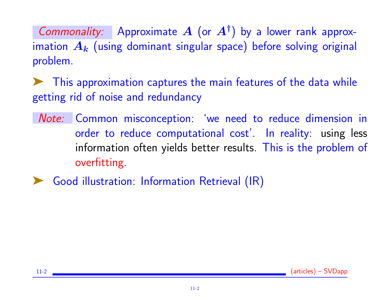Commonality: Approximate  $A$  (or  $A^{\dagger}$ ) by a lower rank approximation  $A_k$  (using dominant singular space) before solving original problem.

➤ This approximation captures the main features of the data while getting rid of noise and redundancy

- Note: Common misconception: 'we need to reduce dimension in order to reduce computational cost'. In reality: using less information often yields better results. This is the problem of overfitting.
- Good illustration: Information Retrieval (IR)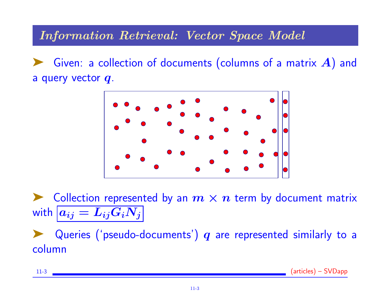#### Information Retrieval: Vector Space Model

Given: a collection of documents (columns of a matrix  $A$ ) and a query vector  $q$ .



Collection represented by an  $m \times n$  term by document matrix with  $a_{ij} = L_{ij}G_iN_j$ 

Queries ('pseudo-documents')  $q$  are represented similarly to a column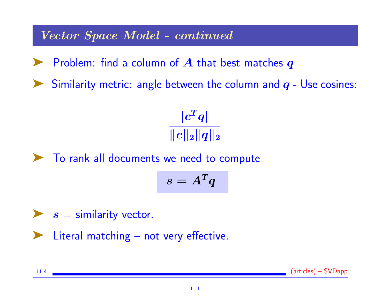Vector Space Model - continued

 $\blacktriangleright$  Problem: find a column of  $A$  that best matches  $q$ 

Similarity metric: angle between the column and  $q$  - Use cosines:

 $|c^Tq|$  $\Vert c\Vert _{2}\Vert q\Vert _{2}$ 



$$
s=A^Tq
$$

 $\blacktriangleright$  s = similarity vector.

Literal matching – not very effective.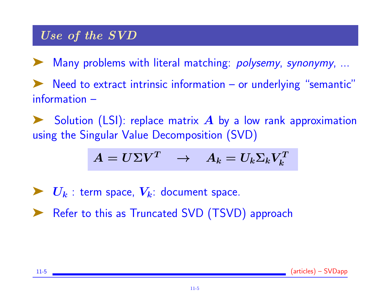# Use of the SVD

➤ Many problems with literal matching: polysemy, synonymy, ...

Need to extract intrinsic information  $-$  or underlying "semantic" information –

Solution (LSI): replace matrix  $A$  by a low rank approximation using the Singular Value Decomposition (SVD)

$$
A = U\Sigma V^T \quad \rightarrow \quad A_k = U_k \Sigma_k V_k^T
$$

- $\blacktriangleright\ U_k$ : term space,  $V_k$ : document space.
- ▶ Refer to this as Truncated SVD (TSVD) approach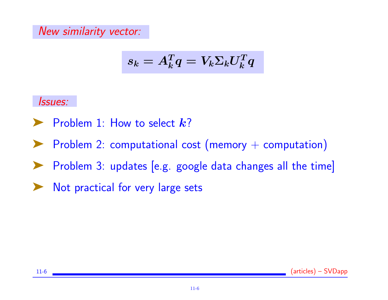New similarity vector:

$$
s_k = A_k^T q = V_k \Sigma_k U_k^T q
$$

Issues:

- $\blacktriangleright$  Problem 1: How to select  $k$ ?
- ▶ Problem 2: computational cost (memory + computation)
- ➤ Problem 3: updates [e.g. google data changes all the time]
- ▶ Not practical for very large sets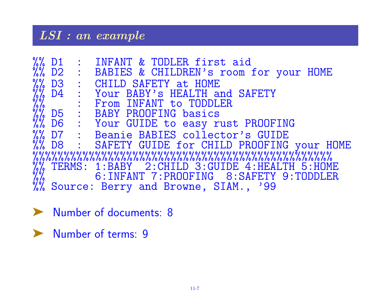# LSI : an example

|  | %% D1 : INFANT & TODLER first aid<br>%% D2 : BABIES & CHILDREN's room for your HOME                                                                                                                                                         |
|--|---------------------------------------------------------------------------------------------------------------------------------------------------------------------------------------------------------------------------------------------|
|  |                                                                                                                                                                                                                                             |
|  | W. D3 : CHILD SAFETY at HOME<br>W. D4 : Your BABY's HEALTH and SAFETY<br>W. D5 : BABY PROOFING basics<br>W. D6 : Your GUIDE to easy rust PROOFING<br>W. D7 : Beanie BABIES collector's GUIDE<br>W. D7 : Beanie BABIES collector's GUIDE<br> |
|  |                                                                                                                                                                                                                                             |
|  |                                                                                                                                                                                                                                             |
|  |                                                                                                                                                                                                                                             |
|  |                                                                                                                                                                                                                                             |
|  |                                                                                                                                                                                                                                             |
|  |                                                                                                                                                                                                                                             |
|  |                                                                                                                                                                                                                                             |
|  |                                                                                                                                                                                                                                             |
|  |                                                                                                                                                                                                                                             |
|  | W. TERMS: 1:BABY 2:CHILD 3:GUIDE 4:HEALTH 5:HOME<br>% 6:INFANT 7:PROOFING 8:SAFETY 9:TODDLER<br>% Source: Berry and Browne, SIAM., '99                                                                                                      |

➤ Number of documents: 8

➤ Number of terms: 9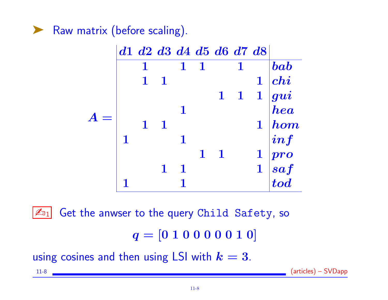Raw matrix (before scaling).



ها  $\mathbb{Z}_{01}$  Get the anwser to the query Child Safety, so  $q = [0 1 0 0 0 0 0 1 0]$ 

using cosines and then using LSI with  $k = 3$ .

11-8 (articles) – SVDapp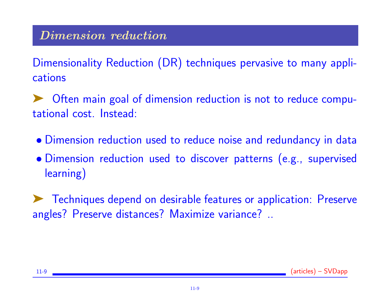### Dimension reduction

Dimensionality Reduction (DR) techniques pervasive to many applications

➤ Often main goal of dimension reduction is not to reduce computational cost. Instead:

- Dimension reduction used to reduce noise and redundancy in data
- Dimension reduction used to discover patterns (e.g., supervised learning)

➤ Techniques depend on desirable features or application: Preserve angles? Preserve distances? Maximize variance? ..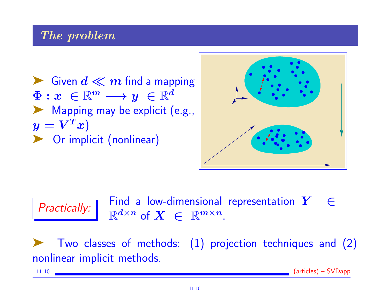#### The problem

 $\blacktriangleright$  Given  $d \ll m$  find a mapping  $\Phi: x \in \mathbb{R}^m \longrightarrow y \in \mathbb{R}^d$ ▶ Mapping may be explicit (e.g.,  $\boldsymbol{y} = \boldsymbol{V}^T \boldsymbol{x})$ ▶ Or implicit (nonlinear)



 $\boxed{\text{Practically:}}$  Find a low-dimensional representation  $Y \in \mathbb{R}^{d \times n}$  $\mathbb{R}^{d \times n}$  of  $X \in \mathbb{R}^{m \times n}$ .

➤ Two classes of methods: (1) projection techniques and (2) nonlinear implicit methods.

11-10 (articles) – SVDapp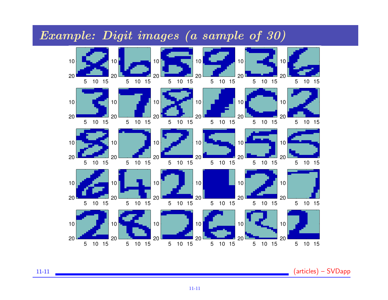

#### Example: Digit images (a sample of 30)

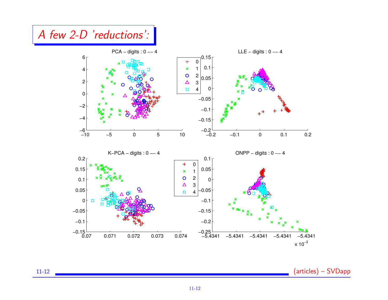

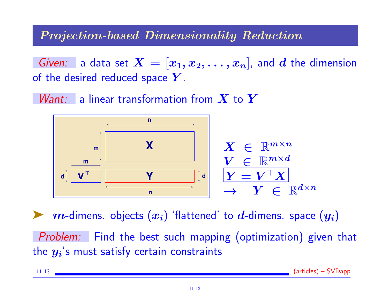#### Projection-based Dimensionality Reduction

Given: a data set  $X = [x_1, x_2, \ldots, x_n]$ , and d the dimension of the desired reduced space  $Y$ .

*Want:* a linear transformation from  $X$  to  $Y$ 



 $m$ -dimens. objects  $(x_i)$  'flattened' to  $d$ -dimens. space  $(y_i)$ 

Problem: Find the best such mapping (optimization) given that the  $\boldsymbol{y_{i}}$ 's must satisfy certain constraints

| $\sum_{n=1}^{n}$<br>$^{\prime}$ articles) $\cdot$<br>$11 - 13$<br><b>NUJADD</b><br>- <del>1</del> 1 1 1 1 1 1 1 1 1 1 1 1 1 |
|-----------------------------------------------------------------------------------------------------------------------------|
|-----------------------------------------------------------------------------------------------------------------------------|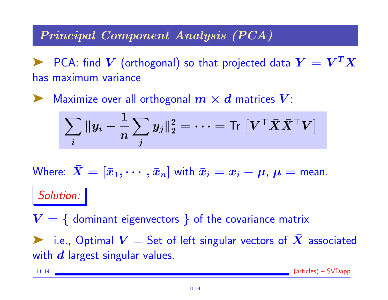#### Principal Component Analysis (PCA)

 $\blacktriangleright$  PCA: find  $V$  (orthogonal) so that projected data  $Y = V^T X$ has maximum variance

 $\blacktriangleright$  Maximize over all orthogonal  $m \times d$  matrices  $V$ :

$$
\sum_i \|y_i - \frac{1}{n}\sum_j y_j\|_2^2 = \cdots = \mathsf{Tr}\left[ V^\top \bar{X} \bar{X}^\top V \right]
$$

Where:  $X = [\bar{x}_1, \cdots, \bar{x}_n]$  with  $\bar{x}_i = x_i - \mu$ ,  $\mu =$  mean. Solution:

 $V = \{$  dominant eigenvectors  $\}$  of the covariance matrix i.e., Optimal  $V =$  Set of left singular vectors of X associated with  $d$  largest singular values.

11-14 (articles) – SVDapp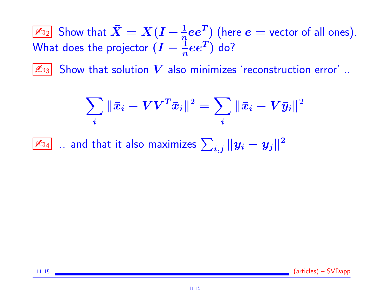$\bar{\mathbb{Z}}_{22}$  Show that  $\bar{X}=X(I-\frac{1}{n}ee^T)$  (here  $e=$  vector of all ones). What does the projector  $(I - \frac{\mathbb{I}}{n}ee^T)$  do?

 $\mathbb{Z}_{3}$  Show that solution  $V$  also minimizes 'reconstruction error' ..

$$
\sum_i \|\bar{x}_i - VV^T\bar{x}_i\|^2 = \sum_i \|\bar{x}_i - V\bar{y}_i\|^2
$$

 $\boxed{\mathbb{Z}_{\mathbb{D}_4}}$   $\ldots$  and that it also maximizes  $\sum_{i,j} \| y_i - y_j \|^2$